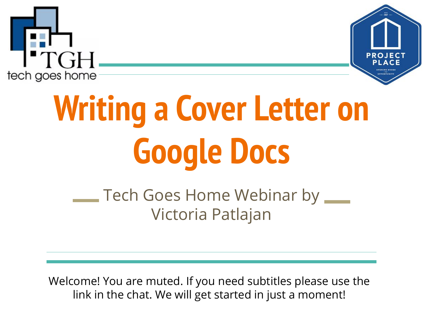



# **Writing a Cover Letter on Google Docs**

Tech Goes Home Webinar by  $\equiv$ Victoria Patlajan

Welcome! You are muted. If you need subtitles please use the link in the chat. We will get started in just a moment!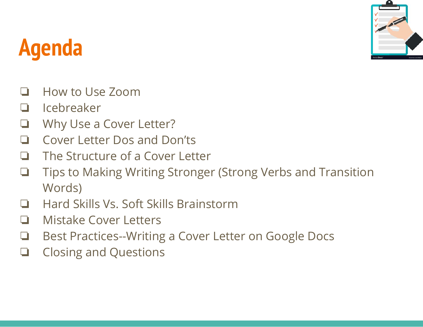

# **Agenda**

- ❏ How to Use Zoom
- ❏ Icebreaker
- Why Use a Cover Letter?
- ❏ Cover Letter Dos and Don'ts
- ❏ The Structure of a Cover Letter
- ❏ Tips to Making Writing Stronger (Strong Verbs and Transition Words)
- ❏ Hard Skills Vs. Soft Skills Brainstorm
- ❏ Mistake Cover Letters
- ❏ Best Practices--Writing a Cover Letter on Google Docs
- ❏ Closing and Questions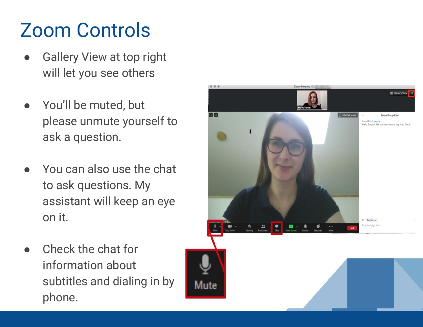### Zoom Controls

- **Gallery View at top right** will let you see others
- You'll be muted, but please unmute yourself to ask a question.
- You can also use the chat to ask questions. My assistant will keep an eye on it.
- Check the chat for information about subtitles and dialing in by phone.

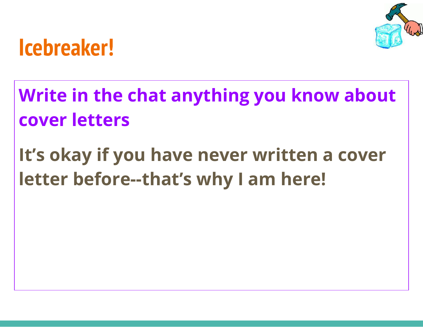

### **Icebreaker!**

**Write in the chat anything you know about cover letters**

**It's okay if you have never written a cover letter before--that's why I am here!**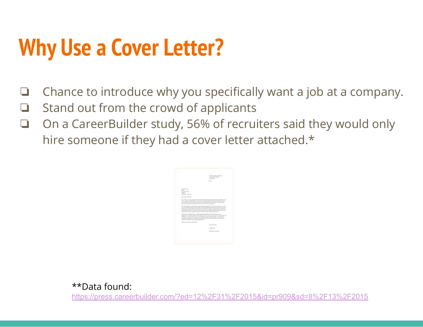# **Why Use a Cover Letter?**

- ❏ Chance to introduce why you specifically want a job at a company.
- ❏ Stand out from the crowd of applicants
- ❏ On a CareerBuilder study, 56% of recruiters said they would only hire someone if they had a cover letter attached.\*

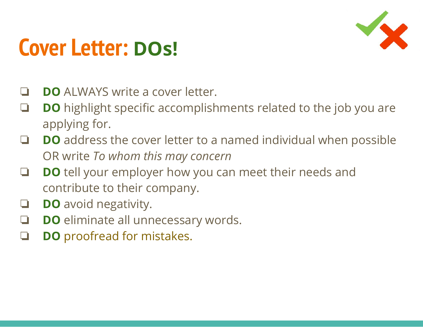

### **Cover Letter: DOs!**

- **DO** ALWAYS write a cover letter.
- ❏ **DO** highlight specific accomplishments related to the job you are applying for.
- ❏ **DO** address the cover letter to a named individual when possible OR write *To whom this may concern*
- ❏ **DO** tell your employer how you can meet their needs and contribute to their company.
- ❏ **DO** avoid negativity.
- ❏ **DO** eliminate all unnecessary words.
- ❏ **DO** proofread for mistakes.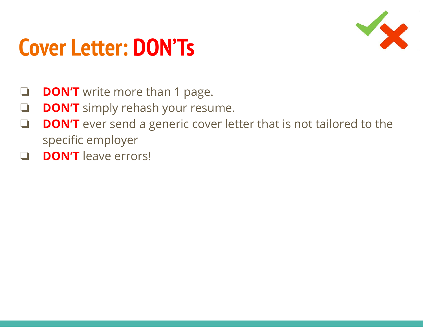### **Cover Letter: DON'Ts**



- **DON'T** write more than 1 page.
- ❏ **DON'T** simply rehash your resume.
- ❏ **DON'T** ever send a generic cover letter that is not tailored to the specific employer
- ❏ **DON'T** leave errors!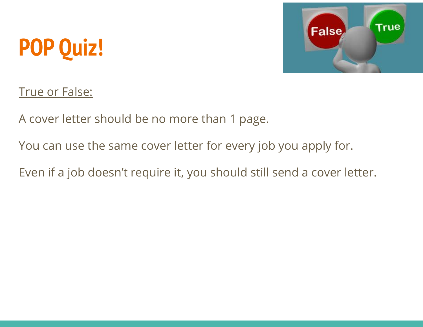# **POP Quiz!**



#### True or False:

A cover letter should be no more than 1 page.

You can use the same cover letter for every job you apply for.

Even if a job doesn't require it, you should still send a cover letter.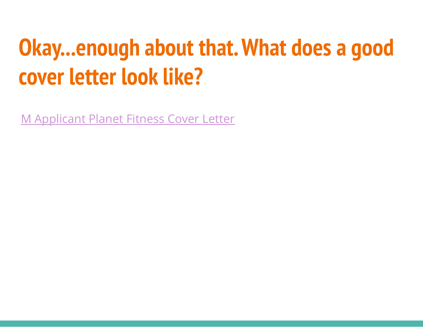### **Okay...enough about that. What does a good cover letter look like?**

[M Applicant Planet Fitness Cover Letter](https://docs.google.com/document/d/14eS30D1Fq009XptDlEBWCOxItsBJoGXNq8EK6nqNnJM/edit?usp=sharing)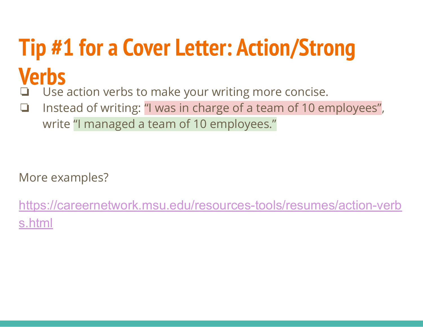# **Tip #1 for a Cover Letter: Action/Strong Verbs**

- Use action verbs to make your writing more concise. ❏ Instead of writing: "I was in charge of a team of 10 employees",
	- write "I managed a team of 10 employees."

More examples?

[https://careernetwork.msu.edu/resources-tools/resumes/action-verb](https://careernetwork.msu.edu/resources-tools/resumes/action-verbs.html) [s.html](https://careernetwork.msu.edu/resources-tools/resumes/action-verbs.html)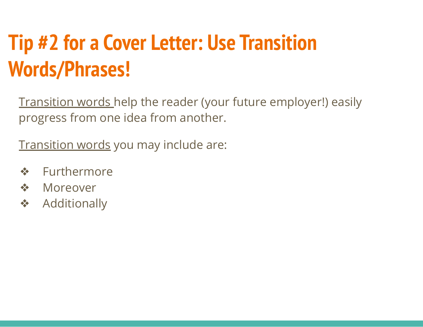### **Tip #2 for a Cover Letter: Use Transition Words/Phrases!**

Transition words help the reader (your future employer!) easily progress from one idea from another.

Transition words you may include are:

- ❖ Furthermore
- ❖ Moreover
- ❖ Additionally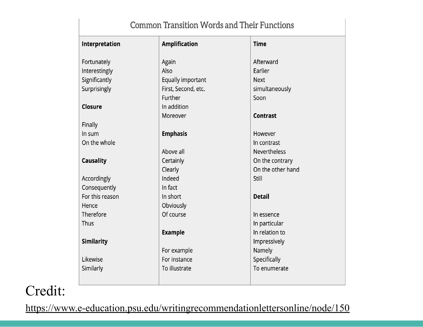| <b>Common Transition Words and Their Functions</b> |                      |                     |
|----------------------------------------------------|----------------------|---------------------|
| Interpretation                                     | <b>Amplification</b> | <b>Time</b>         |
| Fortunately                                        | Again                | Afterward           |
| Interestingly                                      | Also                 | Earlier             |
| Significantly                                      | Equally important    | <b>Next</b>         |
| Surprisingly                                       | First, Second, etc.  | simultaneously      |
|                                                    | Further              | Soon                |
| Closure                                            | In addition          |                     |
|                                                    | Moreover             | <b>Contrast</b>     |
| Finally                                            |                      |                     |
| In sum                                             | <b>Emphasis</b>      | However             |
| On the whole                                       |                      | In contrast         |
|                                                    | Above all            | <b>Nevertheless</b> |
| <b>Causality</b>                                   | Certainly            | On the contrary     |
|                                                    | Clearly              | On the other hand   |
| Accordingly                                        | Indeed               | Still               |
| Consequently                                       | In fact              |                     |
| For this reason                                    | In short             | <b>Detail</b>       |
| Hence                                              | Obviously            |                     |
| Therefore                                          | Of course            | In essence          |
| Thus                                               |                      | In particular       |
|                                                    | <b>Example</b>       | In relation to      |
| <b>Similarity</b>                                  |                      | Impressively        |
|                                                    | For example          | Namely              |
| Likewise                                           | For instance         | Specifically        |
| Similarly                                          | To illustrate        | To enumerate        |
|                                                    |                      |                     |

Credit:

<https://www.e-education.psu.edu/writingrecommendationlettersonline/node/150>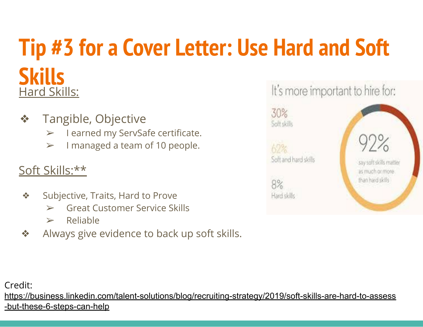#### **Tip #3 for a Cover Letter: Use Hard and Soft Skills** It's more important to hire for: Hard Skills:

- ❖ Tangible, Objective
	- ➢ I earned my ServSafe certificate.
	- $\triangleright$  I managed a team of 10 people.

#### Soft Skills:\*\*

- ❖ Subjective, Traits, Hard to Prove
	- $\triangleright$  Great Customer Service Skills
	- $\triangleright$  Reliable
- ❖ Always give evidence to back up soft skills.



Credit:

[https://business.linkedin.com/talent-solutions/blog/recruiting-strategy/2019/soft-skills-are-hard-to-assess](https://business.linkedin.com/talent-solutions/blog/recruiting-strategy/2019/soft-skills-are-hard-to-assess-but-these-6-steps-can-help) [-but-these-6-steps-can-help](https://business.linkedin.com/talent-solutions/blog/recruiting-strategy/2019/soft-skills-are-hard-to-assess-but-these-6-steps-can-help)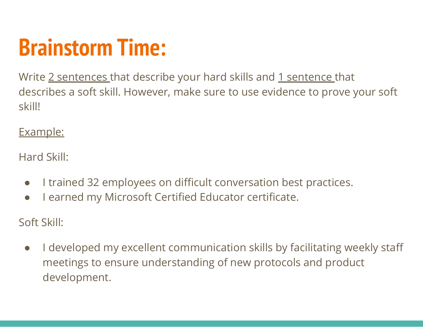## **Brainstorm Time:**

Write 2 sentences that describe your hard skills and 1 sentence that describes a soft skill. However, make sure to use evidence to prove your soft skill!

Example:

Hard Skill:

- I trained 32 employees on difficult conversation best practices.
- I earned my Microsoft Certified Educator certificate.

Soft Skill:

● I developed my excellent communication skills by facilitating weekly staff meetings to ensure understanding of new protocols and product development.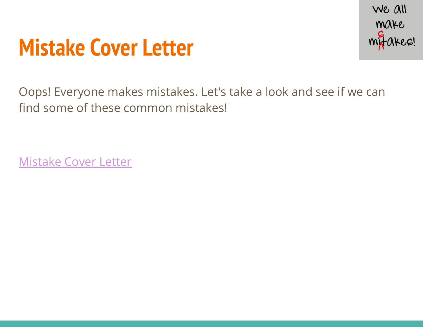### **Mistake Cover Letter**



Oops! Everyone makes mistakes. Let's take a look and see if we can find some of these common mistakes!

[Mistake Cover Letter](https://docs.google.com/document/d/1TOhM-1UhB6UjhmgnDHP4hx9fLFZnwrCjbMw2i3rEJEM/edit?usp=sharing)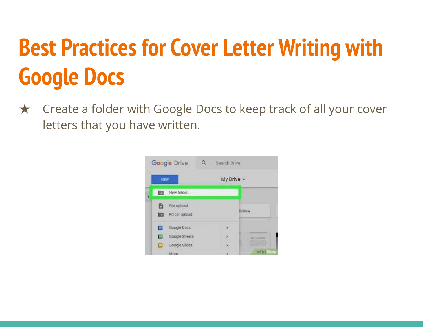# **Best Practices for Cover Letter Writing with Google Docs**

★ Create a folder with Google Docs to keep track of all your cover letters that you have written.

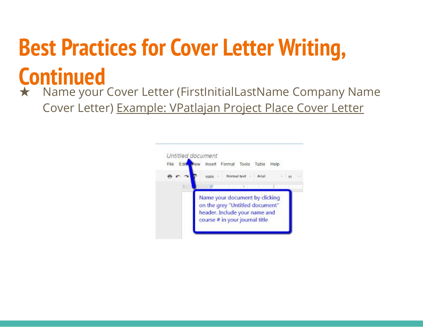# **Best Practices for Cover Letter Writing, Continued**

★ Name your Cover Letter (FirstInitialLastName Company Name Cover Letter) Example: VPatlajan Project Place Cover Letter

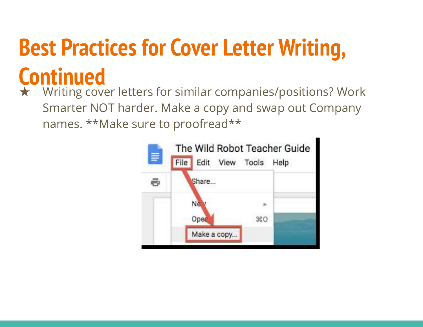# **Best Practices for Cover Letter Writing,**

# **Continued**

★ Writing cover letters for similar companies/positions? Work Smarter NOT harder. Make a copy and swap out Company names. \*\*Make sure to proofread\*\*

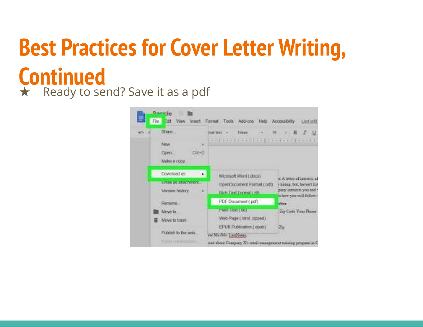### **Best Practices for Cover Letter Writing, Continued** ★ Ready to send? Save it as a pdf

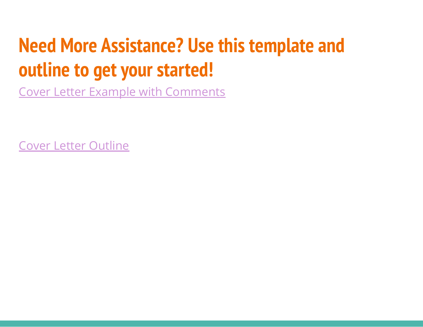### **Need More Assistance? Use this template and outline to get your started!**

[Cover Letter Example with Comments](https://docs.google.com/document/d/1oUyQCHsDxk2NEr2tR23ZuTlojmnWLvVa3KaE3actg1A/edit?usp=sharing)

[Cover Letter Outline](https://docs.google.com/document/d/1xB2QJwO3WMuFnVe2KO-Ni8baHV1yFQsnDB_ESMmT4f4/edit?usp=sharing)